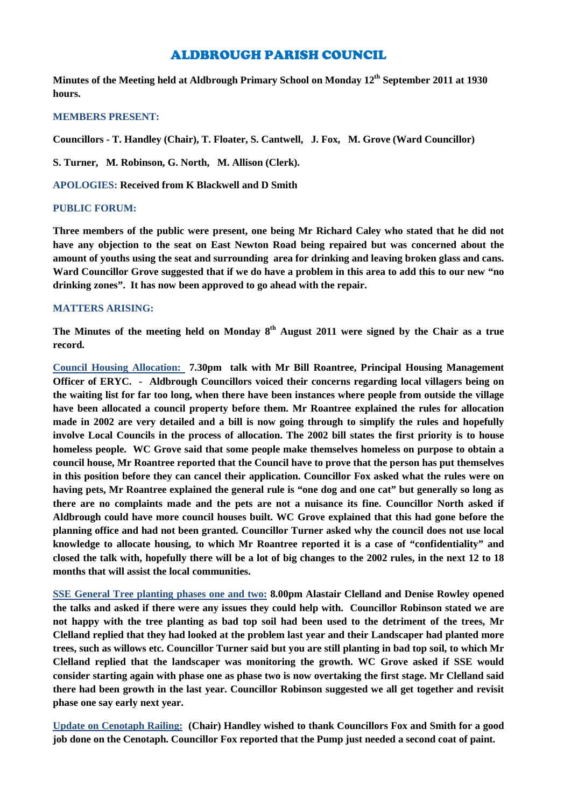# ALDBROUGH PARISH COUNCIL

**Minutes of the Meeting held at Aldbrough Primary School on Monday 12th September 2011 at 1930 hours.**

#### **MEMBERS PRESENT:**

**Councillors - T. Handley (Chair), T. Floater, S. Cantwell, J. Fox, M. Grove (Ward Councillor)**

**S. Turner, M. Robinson, G. North, M. Allison (Clerk).**

**APOLOGIES: Received from K Blackwell and D Smith**

## **PUBLIC FORUM:**

**Three members of the public were present, one being Mr Richard Caley who stated that he did not have any objection to the seat on East Newton Road being repaired but was concerned about the amount of youths using the seat and surrounding area for drinking and leaving broken glass and cans. Ward Councillor Grove suggested that if we do have a problem in this area to add this to our new "no drinking zones". It has now been approved to go ahead with the repair.**

#### **MATTERS ARISING:**

**The Minutes of the meeting held on Monday 8 th August 2011 were signed by the Chair as a true record.**

**Council Housing Allocation: 7.30pm talk with Mr Bill Roantree, Principal Housing Management Officer of ERYC. - Aldbrough Councillors voiced their concerns regarding local villagers being on the waiting list for far too long, when there have been instances where people from outside the village have been allocated a council property before them. Mr Roantree explained the rules for allocation made in 2002 are very detailed and a bill is now going through to simplify the rules and hopefully involve Local Councils in the process of allocation. The 2002 bill states the first priority is to house homeless people. WC Grove said that some people make themselves homeless on purpose to obtain a council house, Mr Roantree reported that the Council have to prove that the person has put themselves in this position before they can cancel their application. Councillor Fox asked what the rules were on having pets, Mr Roantree explained the general rule is "one dog and one cat" but generally so long as there are no complaints made and the pets are not a nuisance its fine. Councillor North asked if Aldbrough could have more council houses built. WC Grove explained that this had gone before the planning office and had not been granted. Councillor Turner asked why the council does not use local knowledge to allocate housing, to which Mr Roantree reported it is a case of "confidentiality" and closed the talk with, hopefully there will be a lot of big changes to the 2002 rules, in the next 12 to 18 months that will assist the local communities.**

**SSE General Tree planting phases one and two: 8.00pm Alastair Clelland and Denise Rowley opened the talks and asked if there were any issues they could help with. Councillor Robinson stated we are not happy with the tree planting as bad top soil had been used to the detriment of the trees, Mr Clelland replied that they had looked at the problem last year and their Landscaper had planted more trees, such as willows etc. Councillor Turner said but you are still planting in bad top soil, to which Mr Clelland replied that the landscaper was monitoring the growth. WC Grove asked if SSE would consider starting again with phase one as phase two is now overtaking the first stage. Mr Clelland said there had been growth in the last year. Councillor Robinson suggested we all get together and revisit phase one say early next year.**

**Update on Cenotaph Railing: (Chair) Handley wished to thank Councillors Fox and Smith for a good job done on the Cenotaph. Councillor Fox reported that the Pump just needed a second coat of paint.**